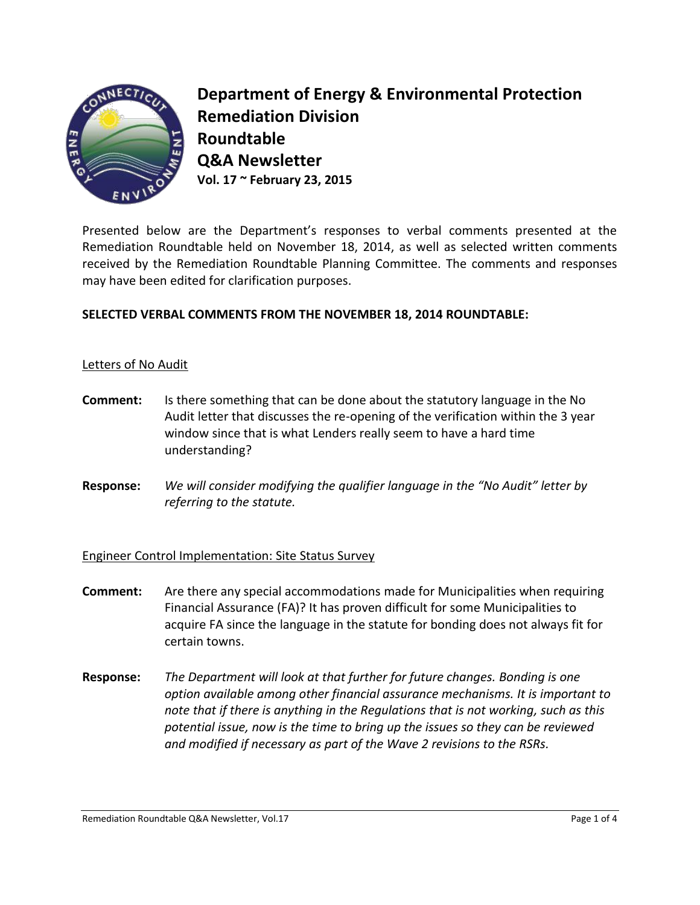

**Department of Energy & Environmental Protection Remediation Division Roundtable Q&A Newsletter Vol. 17 ~ February 23, 2015** 

Presented below are the Department's responses to verbal comments presented at the Remediation Roundtable held on November 18, 2014, as well as selected written comments received by the Remediation Roundtable Planning Committee. The comments and responses may have been edited for clarification purposes.

### **SELECTED VERBAL COMMENTS FROM THE NOVEMBER 18, 2014 ROUNDTABLE:**

#### Letters of No Audit

- **Comment:** Is there something that can be done about the statutory language in the No Audit letter that discusses the re-opening of the verification within the 3 year window since that is what Lenders really seem to have a hard time understanding?
- **Response:** *We will consider modifying the qualifier language in the "No Audit" letter by referring to the statute.*

#### Engineer Control Implementation: Site Status Survey

- **Comment:** Are there any special accommodations made for Municipalities when requiring Financial Assurance (FA)? It has proven difficult for some Municipalities to acquire FA since the language in the statute for bonding does not always fit for certain towns.
- **Response:** *The Department will look at that further for future changes. Bonding is one option available among other financial assurance mechanisms. It is important to note that if there is anything in the Regulations that is not working, such as this potential issue, now is the time to bring up the issues so they can be reviewed and modified if necessary as part of the Wave 2 revisions to the RSRs.*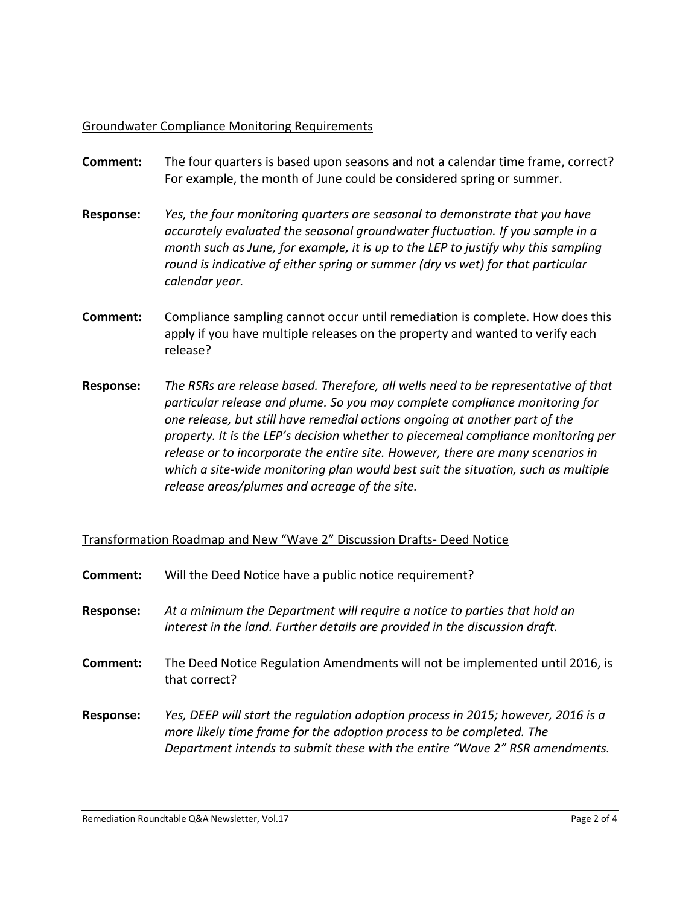#### Groundwater Compliance Monitoring Requirements

- **Comment:** The four quarters is based upon seasons and not a calendar time frame, correct? For example, the month of June could be considered spring or summer.
- **Response:** *Yes, the four monitoring quarters are seasonal to demonstrate that you have accurately evaluated the seasonal groundwater fluctuation. If you sample in a month such as June, for example, it is up to the LEP to justify why this sampling round is indicative of either spring or summer (dry vs wet) for that particular calendar year.*
- **Comment:** Compliance sampling cannot occur until remediation is complete. How does this apply if you have multiple releases on the property and wanted to verify each release?
- **Response:** *The RSRs are release based. Therefore, all wells need to be representative of that particular release and plume. So you may complete compliance monitoring for one release, but still have remedial actions ongoing at another part of the property. It is the LEP's decision whether to piecemeal compliance monitoring per release or to incorporate the entire site. However, there are many scenarios in which a site-wide monitoring plan would best suit the situation, such as multiple release areas/plumes and acreage of the site.*

## Transformation Roadmap and New "Wave 2" Discussion Drafts- Deed Notice

| Comment:         | Will the Deed Notice have a public notice requirement?                                                                                                                                                                                  |
|------------------|-----------------------------------------------------------------------------------------------------------------------------------------------------------------------------------------------------------------------------------------|
| <b>Response:</b> | At a minimum the Department will require a notice to parties that hold an<br>interest in the land. Further details are provided in the discussion draft.                                                                                |
| Comment:         | The Deed Notice Regulation Amendments will not be implemented until 2016, is<br>that correct?                                                                                                                                           |
| <b>Response:</b> | Yes, DEEP will start the regulation adoption process in 2015; however, 2016 is a<br>more likely time frame for the adoption process to be completed. The<br>Department intends to submit these with the entire "Wave 2" RSR amendments. |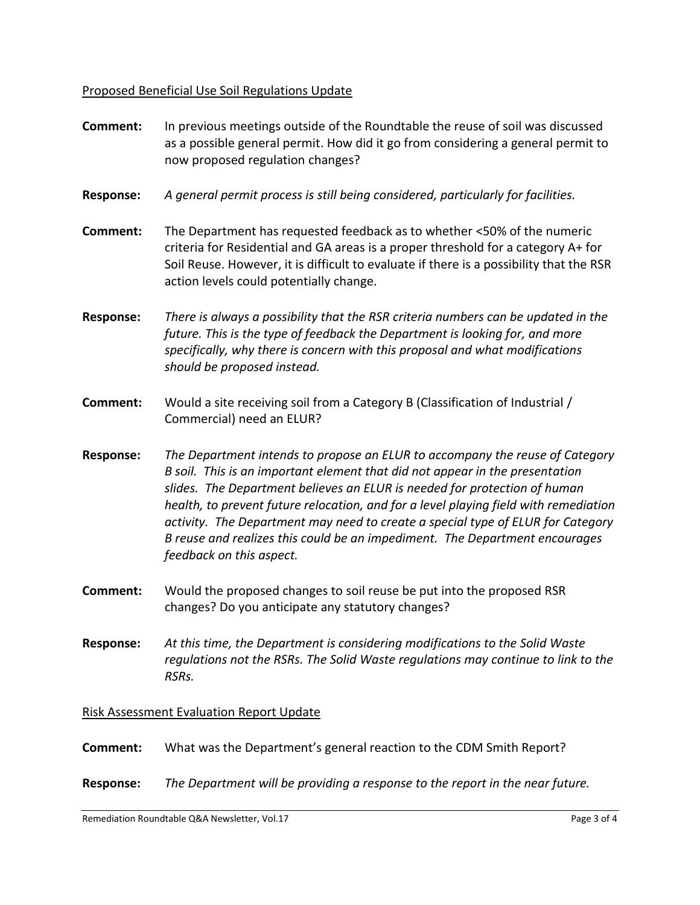# Proposed Beneficial Use Soil Regulations Update

| <b>Comment:</b>  | In previous meetings outside of the Roundtable the reuse of soil was discussed<br>as a possible general permit. How did it go from considering a general permit to<br>now proposed regulation changes?                                                                                                                                                                                                                                                                                                                          |
|------------------|---------------------------------------------------------------------------------------------------------------------------------------------------------------------------------------------------------------------------------------------------------------------------------------------------------------------------------------------------------------------------------------------------------------------------------------------------------------------------------------------------------------------------------|
| <b>Response:</b> | A general permit process is still being considered, particularly for facilities.                                                                                                                                                                                                                                                                                                                                                                                                                                                |
| <b>Comment:</b>  | The Department has requested feedback as to whether <50% of the numeric<br>criteria for Residential and GA areas is a proper threshold for a category A+ for<br>Soil Reuse. However, it is difficult to evaluate if there is a possibility that the RSR<br>action levels could potentially change.                                                                                                                                                                                                                              |
| <b>Response:</b> | There is always a possibility that the RSR criteria numbers can be updated in the<br>future. This is the type of feedback the Department is looking for, and more<br>specifically, why there is concern with this proposal and what modifications<br>should be proposed instead.                                                                                                                                                                                                                                                |
| <b>Comment:</b>  | Would a site receiving soil from a Category B (Classification of Industrial /<br>Commercial) need an ELUR?                                                                                                                                                                                                                                                                                                                                                                                                                      |
| <b>Response:</b> | The Department intends to propose an ELUR to accompany the reuse of Category<br>B soil. This is an important element that did not appear in the presentation<br>slides. The Department believes an ELUR is needed for protection of human<br>health, to prevent future relocation, and for a level playing field with remediation<br>activity. The Department may need to create a special type of ELUR for Category<br>B reuse and realizes this could be an impediment. The Department encourages<br>feedback on this aspect. |
| <b>Comment:</b>  | Would the proposed changes to soil reuse be put into the proposed RSR<br>changes? Do you anticipate any statutory changes?                                                                                                                                                                                                                                                                                                                                                                                                      |
| <b>Response:</b> | At this time, the Department is considering modifications to the Solid Waste<br>regulations not the RSRs. The Solid Waste regulations may continue to link to the<br>RSRs.                                                                                                                                                                                                                                                                                                                                                      |
|                  | <b>Risk Assessment Evaluation Report Update</b>                                                                                                                                                                                                                                                                                                                                                                                                                                                                                 |
| Comment:         | What was the Department's general reaction to the CDM Smith Report?                                                                                                                                                                                                                                                                                                                                                                                                                                                             |

**Response:** *The Department will be providing a response to the report in the near future.*